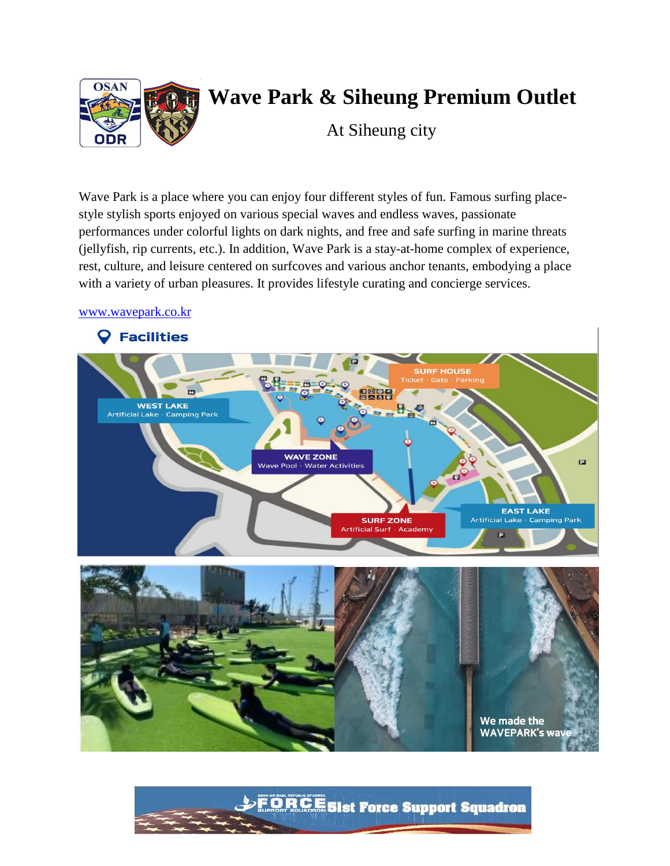

# **Wave Park & Siheung Premium Outlet**

At Siheung city

Wave Park is a place where you can enjoy four different styles of fun. Famous surfing placestyle stylish sports enjoyed on various special waves and endless waves, passionate performances under colorful lights on dark nights, and free and safe surfing in marine threats (jellyfish, rip currents, etc.). In addition, Wave Park is a stay-at-home complex of experience, rest, culture, and leisure centered on surfcoves and various anchor tenants, embodying a place with a variety of urban pleasures. It provides lifestyle curating and concierge services.

#### [www.wavepark.co.kr](http://www.wavepark.co.kr/)



DEORCE Sist Force Support Squadron